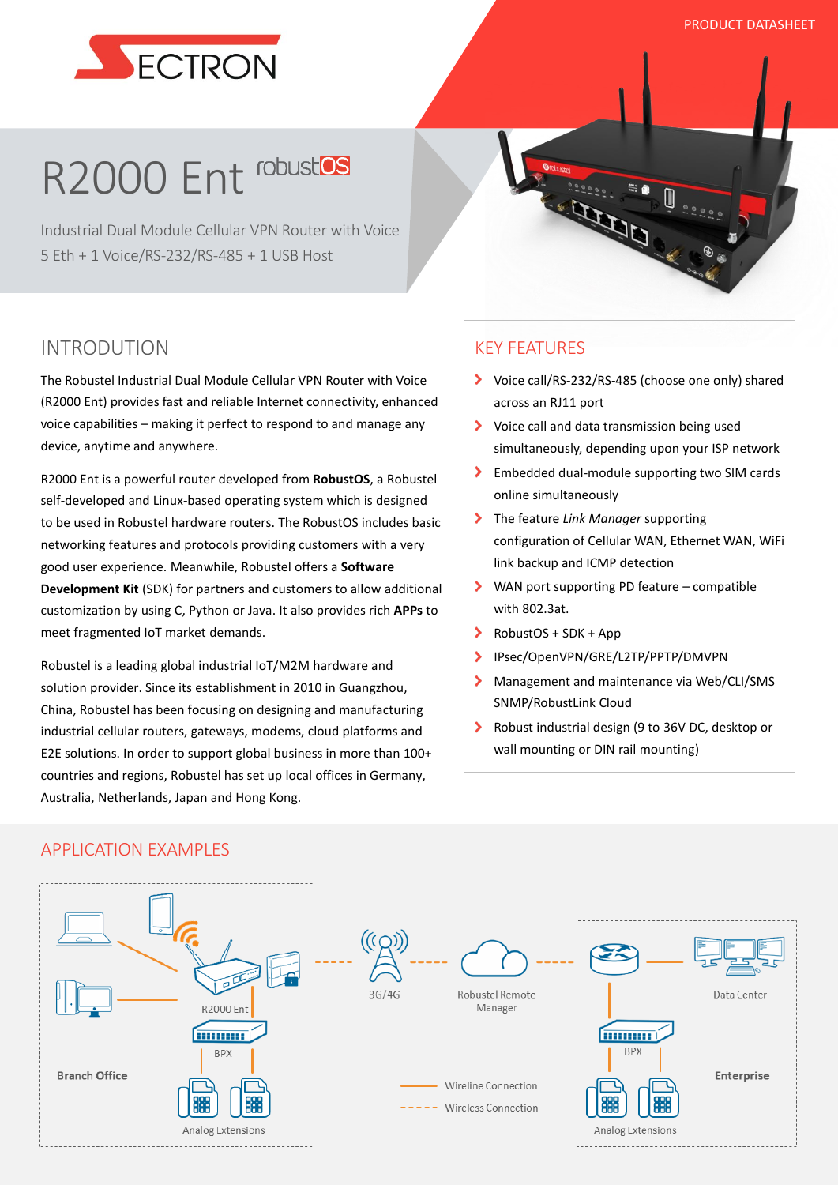

# R2000 Ent robustes

Industrial Dual Module Cellular VPN Router with Voice 5 Eth + 1 Voice/RS-232/RS-485 + 1 USB Host

## INTRODUTION

The Robustel Industrial Dual Module Cellular VPN Router with Voice (R2000 Ent) provides fast and reliable Internet connectivity, enhanced voice capabilities – making it perfect to respond to and manage any device, anytime and anywhere.

R2000 Ent is a powerful router developed from **RobustOS**, a Robustel self-developed and Linux-based operating system which is designed to be used in Robustel hardware routers. The RobustOS includes basic networking features and protocols providing customers with a very good user experience. Meanwhile, Robustel offers a **Software Development Kit** (SDK) for partners and customers to allow additional customization by using C, Python or Java. It also provides rich **APPs** to meet fragmented IoT market demands.

Robustel is a leading global industrial IoT/M2M hardware and solution provider. Since its establishment in 2010 in Guangzhou, China, Robustel has been focusing on designing and manufacturing industrial cellular routers, gateways, modems, cloud platforms and E2E solutions. In order to support global business in more than 100+ countries and regions, Robustel has set up local offices in Germany, Australia, Netherlands, Japan and Hong Kong.

## KEY FEATURES

Voice call/RS-232/RS-485 (choose one only) shared across an RJ11 port

22220

**CLARATE** 

- ◆ Voice call and data transmission being used simultaneously, depending upon your ISP network
- Embedded dual-module supporting two SIM cards online simultaneously
- The feature *Link Manager* supporting configuration of Cellular WAN, Ethernet WAN, WiFi link backup and ICMP detection
- WAN port supporting PD feature compatible with 802.3at.
- RobustOS + SDK + App  $\blacktriangleright$
- $\overline{\phantom{0}}$ IPsec/OpenVPN/GRE/L2TP/PPTP/DMVPN
- $\blacktriangleright$ Management and maintenance via Web/CLI/SMS SNMP/RobustLink Cloud
- $\sum$ Robust industrial design (9 to 36V DC, desktop or wall mounting or DIN rail mounting)

#### APPLICATION EXAMPLES